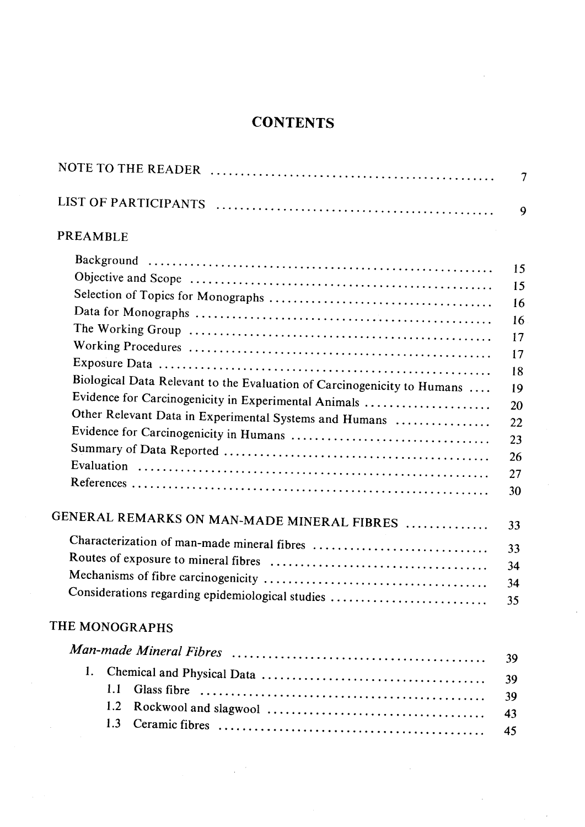|                                                                         | 9        |  |  |
|-------------------------------------------------------------------------|----------|--|--|
| PREAMBLE                                                                |          |  |  |
|                                                                         | 15       |  |  |
|                                                                         | 15       |  |  |
|                                                                         | 16       |  |  |
|                                                                         | 16       |  |  |
|                                                                         | 17       |  |  |
|                                                                         | 17       |  |  |
|                                                                         | 18       |  |  |
| Biological Data Relevant to the Evaluation of Carcinogenicity to Humans | 19       |  |  |
| Evidence for Carcinogenicity in Experimental Animals                    | 20       |  |  |
| Other Relevant Data in Experimental Systems and Humans                  | 22       |  |  |
|                                                                         | 23       |  |  |
|                                                                         | 26       |  |  |
|                                                                         | 27       |  |  |
|                                                                         | 30       |  |  |
| GENERAL REMARKS ON MAN-MADE MINERAL FIBRES                              | 33       |  |  |
|                                                                         | 33       |  |  |
|                                                                         | 34       |  |  |
|                                                                         |          |  |  |
| Considerations regarding epidemiological studies                        | 34<br>35 |  |  |
| THE MONOGRAPHS                                                          |          |  |  |
|                                                                         |          |  |  |
| 1.                                                                      | 39       |  |  |
| 1.1                                                                     | 39       |  |  |
| 1.2                                                                     | 39       |  |  |
| 1.3                                                                     | 43       |  |  |
|                                                                         | 45       |  |  |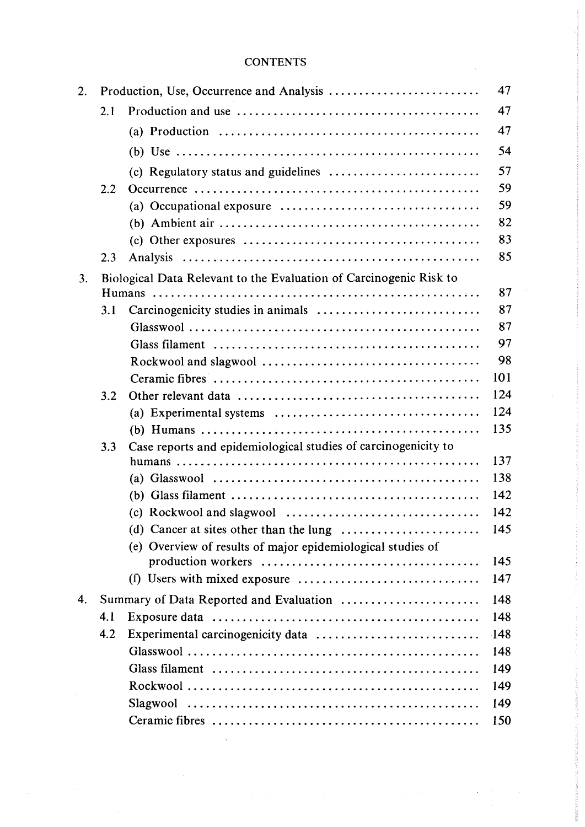| 2. |                                                                    |                                                                                                        |          |  |  |
|----|--------------------------------------------------------------------|--------------------------------------------------------------------------------------------------------|----------|--|--|
|    | 2.1                                                                |                                                                                                        |          |  |  |
|    |                                                                    |                                                                                                        | 47<br>47 |  |  |
|    |                                                                    |                                                                                                        |          |  |  |
|    |                                                                    |                                                                                                        | 54       |  |  |
|    |                                                                    | (c) Regulatory status and guidelines $\dots\dots\dots\dots\dots\dots\dots\dots\dots$                   | 57       |  |  |
|    | 2.2                                                                |                                                                                                        | 59       |  |  |
|    |                                                                    |                                                                                                        | 59       |  |  |
|    |                                                                    |                                                                                                        | 82       |  |  |
|    |                                                                    |                                                                                                        | 83       |  |  |
|    | 2.3                                                                |                                                                                                        | 85       |  |  |
| 3. | Biological Data Relevant to the Evaluation of Carcinogenic Risk to |                                                                                                        |          |  |  |
|    |                                                                    |                                                                                                        | 87       |  |  |
|    | 3.1                                                                |                                                                                                        | 87       |  |  |
|    |                                                                    |                                                                                                        | 87       |  |  |
|    |                                                                    |                                                                                                        | 97       |  |  |
|    |                                                                    |                                                                                                        | 98       |  |  |
|    |                                                                    |                                                                                                        | 101      |  |  |
|    | 3.2                                                                |                                                                                                        | 124      |  |  |
|    |                                                                    |                                                                                                        | 124      |  |  |
|    |                                                                    |                                                                                                        | 135      |  |  |
|    | 3.3                                                                | Case reports and epidemiological studies of carcinogenicity to                                         |          |  |  |
|    |                                                                    |                                                                                                        | 137      |  |  |
|    |                                                                    |                                                                                                        | 138      |  |  |
|    |                                                                    |                                                                                                        | 142      |  |  |
|    |                                                                    |                                                                                                        | 142      |  |  |
|    |                                                                    | (d) Cancer at sites other than the lung $\dots \dots \dots \dots \dots \dots$                          | 145      |  |  |
|    |                                                                    | (e) Overview of results of major epidemiological studies of                                            |          |  |  |
|    |                                                                    |                                                                                                        | 145      |  |  |
|    |                                                                    | (f) Users with mixed exposure $\dots\dots\dots\dots\dots\dots\dots\dots\dots\dots\dots\dots\dots\dots$ | 147      |  |  |
| 4. | Summary of Data Reported and Evaluation                            |                                                                                                        |          |  |  |
|    | 4.1                                                                |                                                                                                        | 148      |  |  |
|    | 4.2                                                                |                                                                                                        | $-148$   |  |  |
|    |                                                                    |                                                                                                        | 148      |  |  |
|    |                                                                    |                                                                                                        | 149      |  |  |
|    |                                                                    |                                                                                                        | 149      |  |  |
|    |                                                                    |                                                                                                        | 149      |  |  |
|    |                                                                    |                                                                                                        | 150      |  |  |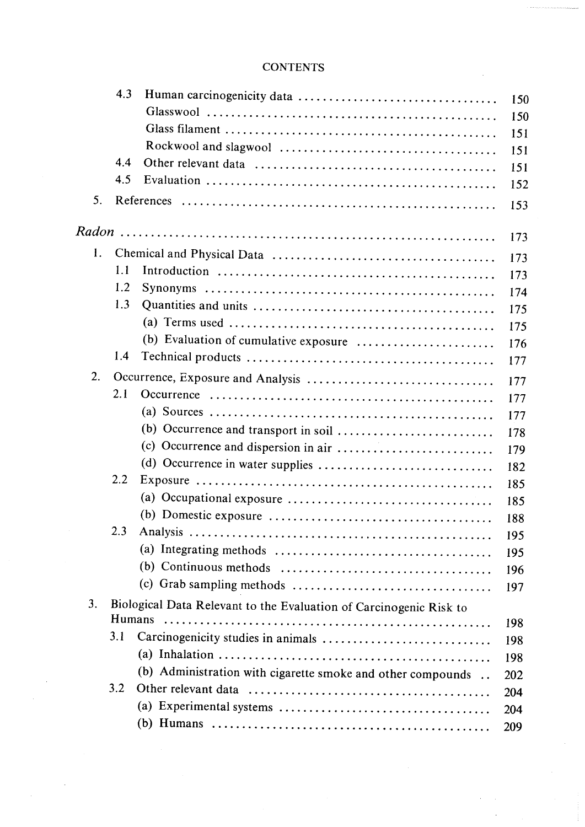|                | 4.3    |                                                                                              | 150        |  |  |  |  |
|----------------|--------|----------------------------------------------------------------------------------------------|------------|--|--|--|--|
|                |        |                                                                                              | 150        |  |  |  |  |
|                |        |                                                                                              | 151        |  |  |  |  |
|                |        |                                                                                              | 151        |  |  |  |  |
|                | 4.4    |                                                                                              | 151        |  |  |  |  |
|                | 4.5    |                                                                                              | 152        |  |  |  |  |
| 5 <sub>1</sub> |        |                                                                                              | 153        |  |  |  |  |
|                |        |                                                                                              | 173        |  |  |  |  |
| $\mathbf{1}$ . |        |                                                                                              |            |  |  |  |  |
|                | 1.1    |                                                                                              | 173<br>173 |  |  |  |  |
|                | 1.2    |                                                                                              | 174        |  |  |  |  |
|                | 1.3    |                                                                                              | 175        |  |  |  |  |
|                |        |                                                                                              | 175        |  |  |  |  |
|                |        | (b) Evaluation of cumulative exposure                                                        | 176        |  |  |  |  |
|                | 1.4    |                                                                                              | 177        |  |  |  |  |
| 2.             |        |                                                                                              |            |  |  |  |  |
|                | 2.1    |                                                                                              | 177<br>177 |  |  |  |  |
|                |        |                                                                                              | 177        |  |  |  |  |
|                |        |                                                                                              | 178        |  |  |  |  |
|                |        |                                                                                              | 179        |  |  |  |  |
|                |        |                                                                                              | 182        |  |  |  |  |
|                | 2.2    |                                                                                              | 185        |  |  |  |  |
|                |        |                                                                                              | 185        |  |  |  |  |
|                |        |                                                                                              | 188        |  |  |  |  |
|                | 2.3    |                                                                                              | 195        |  |  |  |  |
|                |        |                                                                                              | 195        |  |  |  |  |
|                |        | (b) Continuous methods $\dots \dots \dots \dots \dots \dots \dots \dots \dots \dots \dots$   | 196        |  |  |  |  |
|                |        |                                                                                              | 197        |  |  |  |  |
| 3.             |        | Biological Data Relevant to the Evaluation of Carcinogenic Risk to                           |            |  |  |  |  |
|                | Humans |                                                                                              | 198        |  |  |  |  |
|                | 3.1    |                                                                                              | 198        |  |  |  |  |
|                |        |                                                                                              | 198        |  |  |  |  |
|                |        | (b) Administration with cigarette smoke and other compounds                                  | 202        |  |  |  |  |
|                | 3.2    |                                                                                              | 204        |  |  |  |  |
|                |        | (a) Experimental systems $\dots \dots \dots \dots \dots \dots \dots \dots \dots \dots \dots$ | 204        |  |  |  |  |
|                |        |                                                                                              | 209        |  |  |  |  |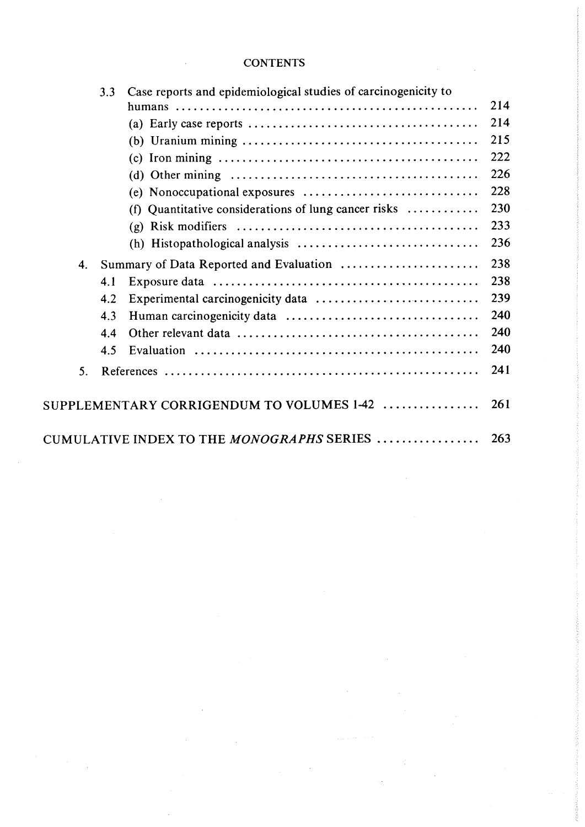|    | 3.3 | Case reports and epidemiological studies of carcinogenicity to                                                |     |  |
|----|-----|---------------------------------------------------------------------------------------------------------------|-----|--|
|    |     |                                                                                                               | 214 |  |
|    |     | (a) Early case reports $\dots \dots \dots \dots \dots \dots \dots \dots \dots \dots \dots \dots \dots$        | 214 |  |
|    |     |                                                                                                               | 215 |  |
|    |     |                                                                                                               | 222 |  |
|    |     | (d) Other mining $\ldots \ldots \ldots \ldots \ldots \ldots \ldots \ldots \ldots \ldots \ldots \ldots \ldots$ | 226 |  |
|    |     | (e) Nonoccupational exposures                                                                                 | 228 |  |
|    |     | (f) Quantitative considerations of lung cancer risks $\dots\dots\dots\dots$                                   | 230 |  |
|    |     | (g)                                                                                                           | 233 |  |
|    |     | (h)                                                                                                           | 236 |  |
| 4. |     | Summary of Data Reported and Evaluation                                                                       | 238 |  |
|    | 4.1 |                                                                                                               | 238 |  |
|    | 4.2 | Experimental carcinogenicity data                                                                             | 239 |  |
|    | 4.3 |                                                                                                               | 240 |  |
|    | 4.4 |                                                                                                               | 240 |  |
|    | 4.5 |                                                                                                               | 240 |  |
| 5. |     |                                                                                                               | 241 |  |
|    |     | SUPPLEMENTARY CORRIGENDUM TO VOLUMES 1-42                                                                     | 261 |  |
|    |     | CUMULATIVE INDEX TO THE <i>MONOGRAPHS</i> SERIES                                                              | 263 |  |